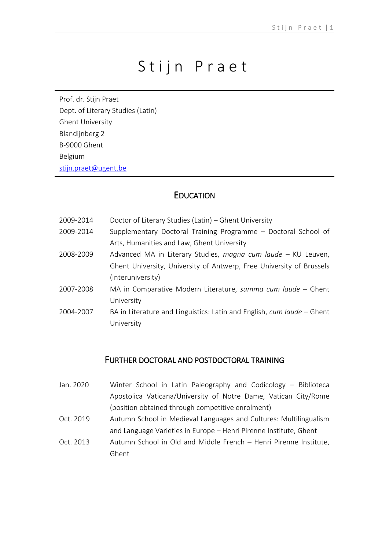# Stijn Praet

Prof. dr. Stijn Praet Dept. of Literary Studies (Latin) Ghent University Blandijnberg 2 B-9000 Ghent Belgium [stijn.praet@ugent.be](mailto:stijn.praet@ugent.be)

# **EDUCATION**

- 2009-2014 Doctor of Literary Studies (Latin) Ghent University 2009-2014 Supplementary Doctoral Training Programme – Doctoral School of Arts, Humanities and Law, Ghent University 2008-2009 Advanced MA in Literary Studies, *magna cum laude* – KU Leuven, Ghent University, University of Antwerp, Free University of Brussels
- (interuniversity) 2007-2008 MA in Comparative Modern Literature, *summa cum laude* – Ghent
- University 2004-2007 BA in Literature and Linguistics: Latin and English, *cum laude* – Ghent
	- University

#### FURTHER DOCTORAL AND POSTDOCTORAL TRAINING

- Jan. 2020 Winter School in Latin Paleography and Codicology Biblioteca Apostolica Vaticana/University of Notre Dame, Vatican City/Rome (position obtained through competitive enrolment)
- Oct. 2019 Autumn School in Medieval Languages and Cultures: Multilingualism and Language Varieties in Europe – Henri Pirenne Institute, Ghent
- Oct. 2013 Autumn School in Old and Middle French Henri Pirenne Institute, Ghent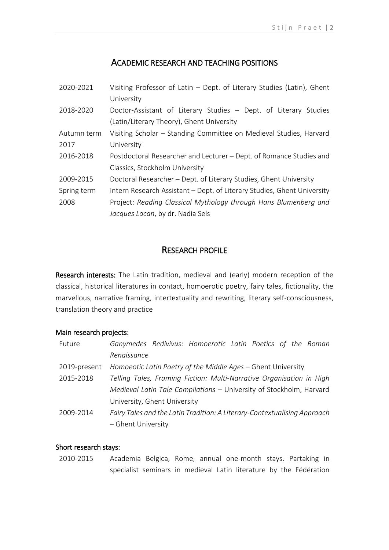# ACADEMIC RESEARCH AND TEACHING POSITIONS

| 2020-2021   | Visiting Professor of Latin – Dept. of Literary Studies (Latin), Ghent  |  |  |  |
|-------------|-------------------------------------------------------------------------|--|--|--|
|             | University                                                              |  |  |  |
| 2018-2020   | Doctor-Assistant of Literary Studies – Dept. of Literary Studies        |  |  |  |
|             | (Latin/Literary Theory), Ghent University                               |  |  |  |
| Autumn term | Visiting Scholar - Standing Committee on Medieval Studies, Harvard      |  |  |  |
| 2017        | University                                                              |  |  |  |
| 2016-2018   | Postdoctoral Researcher and Lecturer – Dept. of Romance Studies and     |  |  |  |
|             | Classics, Stockholm University                                          |  |  |  |
| 2009-2015   | Doctoral Researcher - Dept. of Literary Studies, Ghent University       |  |  |  |
| Spring term | Intern Research Assistant – Dept. of Literary Studies, Ghent University |  |  |  |
| 2008        | Project: Reading Classical Mythology through Hans Blumenberg and        |  |  |  |
|             | Jacques Lacan, by dr. Nadia Sels                                        |  |  |  |

# RESEARCH PROFILE

Research interests: The Latin tradition, medieval and (early) modern reception of the classical, historical literatures in contact, homoerotic poetry, fairy tales, fictionality, the marvellous, narrative framing, intertextuality and rewriting, literary self-consciousness, translation theory and practice

#### Main research projects:

| Future       | Ganymedes Redivivus: Homoerotic Latin Poetics of the Roman               |  |  |  |  |
|--------------|--------------------------------------------------------------------------|--|--|--|--|
|              | Renaissance                                                              |  |  |  |  |
| 2019-present | Homoeotic Latin Poetry of the Middle Ages - Ghent University             |  |  |  |  |
| 2015-2018    | Telling Tales, Framing Fiction: Multi-Narrative Organisation in High     |  |  |  |  |
|              | Medieval Latin Tale Compilations - University of Stockholm, Harvard      |  |  |  |  |
|              | University, Ghent University                                             |  |  |  |  |
| 2009-2014    | Fairy Tales and the Latin Tradition: A Literary-Contextualising Approach |  |  |  |  |
|              | - Ghent University                                                       |  |  |  |  |

#### Short research stays:

2010-2015 Academia Belgica, Rome, annual one-month stays. Partaking in specialist seminars in medieval Latin literature by the Fédération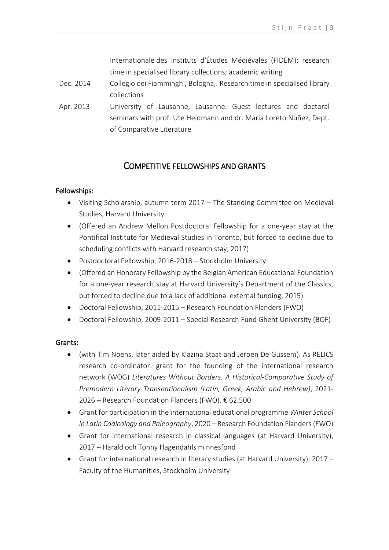Internationale des Instituts d'Études Médiévales (FIDEM); research time in specialised library collections; academic writing

- Dec. 2014 Collegio dei Fiamminghi, Bologna,. Research time in specialised library collections
- Apr. 2013 University of Lausanne, Lausanne. Guest lectures and doctoral seminars with prof. Ute Heidmann and dr. Maria Loreto Nuñez, Dept. of Comparative Literature

# COMPETITIVE FELLOWSHIPS AND GRANTS

## Fellowships:

- Visiting Scholarship, autumn term 2017 The Standing Committee on Medieval Studies, Harvard University
- (Offered an Andrew Mellon Postdoctoral Fellowship for a one-year stay at the Pontifical Institute for Medieval Studies in Toronto, but forced to decline due to scheduling conflicts with Harvard research stay, 2017)
- Postdoctoral Fellowship, 2016-2018 Stockholm University
- (Offered an Honorary Fellowship by the Belgian American Educational Foundation for a one-year research stay at Harvard University's Department of the Classics, but forced to decline due to a lack of additional external funding, 2015)
- Doctoral Fellowship, 2011-2015 Research Foundation Flanders (FWO)
- Doctoral Fellowship, 2009-2011 Special Research Fund Ghent University (BOF)

#### Grants:

- (with Tim Noens, later aided by Klazina Staat and Jeroen De Gussem). As RELICS research co-ordinator: grant for the founding of the international research network (WOG) *Literatures Without Borders. A Historical-Comparative Study of Premodern Literary Transnationalism (Latin, Greek, Arabic and Hebrew)*, 2021- 2026 – Research Foundation Flanders (FWO). € 62.500
- Grant for participation in the international educational programme *Winter School in Latin Codicology and Paleography*, 2020 – Research Foundation Flanders (FWO)
- Grant for international research in classical languages (at Harvard University), 2017 – Harald och Tonny Hagendahls minnesfond
- Grant for international research in literary studies (at Harvard University), 2017 Faculty of the Humanities, Stockholm University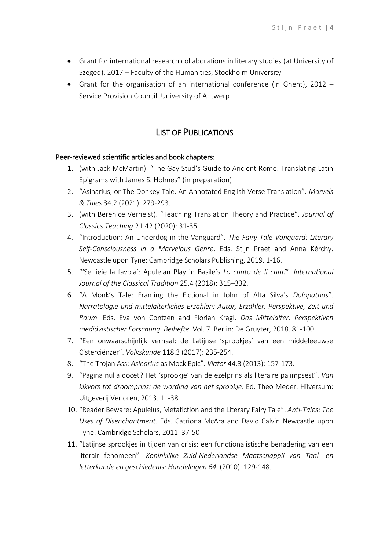- Grant for international research collaborations in literary studies (at University of Szeged), 2017 – Faculty of the Humanities, Stockholm University
- Grant for the organisation of an international conference (in Ghent), 2012 Service Provision Council, University of Antwerp

# LIST OF PUBLICATIONS

#### Peer-reviewed scientific articles and book chapters:

- 1. (with Jack McMartin). "The Gay Stud's Guide to Ancient Rome: Translating Latin Epigrams with James S. Holmes" (in preparation)
- 2. "Asinarius, or The Donkey Tale. An Annotated English Verse Translation". *Marvels & Tales* 34.2 (2021): 279-293.
- 3. (with Berenice Verhelst). "Teaching Translation Theory and Practice". *Journal of Classics Teaching* 21.42 (2020): 31-35.
- 4. "Introduction: An Underdog in the Vanguard". *The Fairy Tale Vanguard: Literary Self-Consciousness in a Marvelous Genre*. Eds. Stijn Praet and Anna Kérchy. Newcastle upon Tyne: Cambridge Scholars Publishing, 2019. 1-16.
- 5. "'Se lieie la favola': Apuleian Play in Basile's *Lo cunto de li cunti*". *International Journal of the Classical Tradition* 25.4 (2018): 315–332.
- 6. "A Monk's Tale: Framing the Fictional in John of Alta Silva's *Dolopathos*". *Narratologie und mittelalterliches Erzählen: Autor, Erzähler, Perspektive, Zeit und Raum*. Eds. Eva von Contzen and Florian Kragl. *Das Mittelalter. Perspektiven mediävistischer Forschung. Beihefte*. Vol. 7. Berlin: De Gruyter, 2018. 81-100.
- 7. "Een onwaarschijnlijk verhaal: de Latijnse 'sprookjes' van een middeleeuwse Cisterciënzer". *Volkskunde* 118.3 (2017): 235-254.
- 8. "The Trojan Ass: *Asinarius* as Mock Epic". *Viator* 44.3 (2013): 157-173.
- 9. "Pagina nulla docet? Het 'sprookje' van de ezelprins als literaire palimpsest". *Van kikvors tot droomprins: de wording van het sprookje*. Ed. Theo Meder. Hilversum: Uitgeverij Verloren, 2013. 11-38.
- 10. "Reader Beware: Apuleius, Metafiction and the Literary Fairy Tale". *Anti-Tales: The Uses of Disenchantment*. Eds. Catriona McAra and David Calvin Newcastle upon Tyne: Cambridge Scholars, 2011. 37-50
- 11. "Latijnse sprookjes in tijden van crisis: een functionalistische benadering van een literair fenomeen". *Koninklijke Zuid-Nederlandse Maatschappij van Taal- en letterkunde en geschiedenis: Handelingen 64* (2010): 129-148.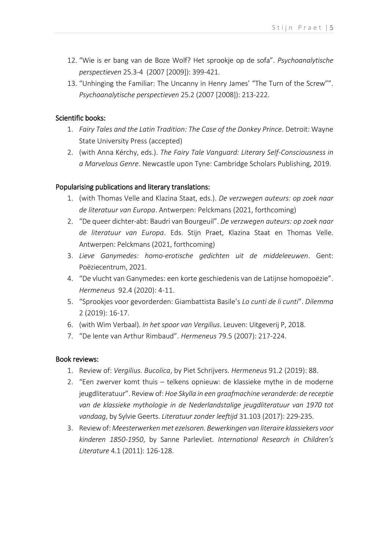- 12. "Wie is er bang van de Boze Wolf? Het sprookje op de sofa". *Psychoanalytische perspectieven* 25.3-4 (2007 [2009]): 399-421.
- 13. "Unhinging the Familiar: The Uncanny in Henry James' "The Turn of the Screw"". *Psychoanalytische perspectieven* 25.2 (2007 [2008]): 213-222.

#### Scientific books:

- 1. *Fairy Tales and the Latin Tradition: The Case of the Donkey Prince*. Detroit: Wayne State University Press (accepted)
- 2. (with Anna Kérchy, eds.). *The Fairy Tale Vanguard: Literary Self-Consciousness in a Marvelous Genre*. Newcastle upon Tyne: Cambridge Scholars Publishing, 2019.

#### Popularising publications and literary translations:

- 1. (with Thomas Velle and Klazina Staat, eds.). *De verzwegen auteurs: op zoek naar de literatuur van Europa*. Antwerpen: Pelckmans (2021, forthcoming)
- 2. "De queer dichter-abt: Baudri van Bourgeuil". *De verzwegen auteurs: op zoek naar de literatuur van Europa*. Eds. Stijn Praet, Klazina Staat en Thomas Velle. Antwerpen: Pelckmans (2021, forthcoming)
- 3. *Lieve Ganymedes: homo-erotische gedichten uit de middeleeuwen*. Gent: Poëziecentrum, 2021.
- 4. "De vlucht van Ganymedes: een korte geschiedenis van de Latijnse homopoëzie". *Hermeneus* 92.4 (2020): 4-11.
- 5. "Sprookjes voor gevorderden: Giambattista Basile's *Lo cunti de li cunti*". *Dilemma* 2 (2019): 16-17.
- 6. (with Wim Verbaal). *In het spoor van Vergilius*. Leuven: Uitgeverij P, 2018.
- 7. "De lente van Arthur Rimbaud". *Hermeneus* 79.5 (2007): 217-224.

#### Book reviews:

- 1. Review of: *Vergilius. Bucolica*, by Piet Schrijvers. *Hermeneus* 91.2 (2019): 88.
- 2. "Een zwerver komt thuis telkens opnieuw: de klassieke mythe in de moderne jeugdliteratuur". Review of: *Hoe Skylla in een graafmachine veranderde: de receptie van de klassieke mythologie in de Nederlandstalige jeugdliteratuur van 1970 tot vandaag*, by Sylvie Geerts. *Literatuur zonder leeftijd* 31.103 (2017): 229-235.
- 3. Review of: *Meesterwerken met ezelsoren. Bewerkingen van literaire klassiekers voor kinderen 1850-1950*, by Sanne Parlevliet. *International Research in Children's Literature* 4.1 (2011): 126-128.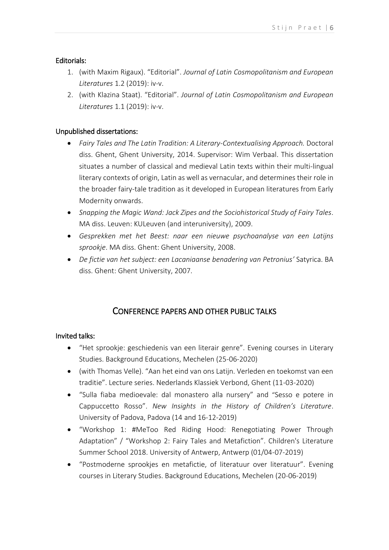#### Editorials:

- 1. (with Maxim Rigaux). "Editorial". *Journal of Latin Cosmopolitanism and European Literatures* 1.2 (2019): iv-v.
- 2. (with Klazina Staat). "Editorial". *Journal of Latin Cosmopolitanism and European Literatures* 1.1 (2019): iv-v.

#### Unpublished dissertations:

- *Fairy Tales and The Latin Tradition: A Literary-Contextualising Approach.* Doctoral diss. Ghent, Ghent University, 2014. Supervisor: Wim Verbaal. This dissertation situates a number of classical and medieval Latin texts within their multi-lingual literary contexts of origin, Latin as well as vernacular, and determines their role in the broader fairy-tale tradition as it developed in European literatures from Early Modernity onwards.
- *Snapping the Magic Wand: Jack Zipes and the Sociohistorical Study of Fairy Tales*. MA diss. Leuven: KULeuven (and interuniversity), 2009.
- *Gesprekken met het Beest: naar een nieuwe psychoanalyse van een Latijns sprookje*. MA diss. Ghent: Ghent University, 2008.
- *De fictie van het subject: een Lacaniaanse benadering van Petronius'* Satyrica. BA diss. Ghent: Ghent University, 2007.

# CONFERENCE PAPERS AND OTHER PUBLIC TALKS

#### Invited talks:

- "Het sprookje: geschiedenis van een literair genre". Evening courses in Literary Studies. Background Educations, Mechelen (25-06-2020)
- (with Thomas Velle). "Aan het eind van ons Latijn. Verleden en toekomst van een traditie". Lecture series. Nederlands Klassiek Verbond, Ghent (11-03-2020)
- "Sulla fiaba medioevale: dal monastero alla nursery" and "Sesso e potere in Cappuccetto Rosso". *New Insights in the History of Children's Literature*. University of Padova, Padova (14 and 16-12-2019)
- "Workshop 1: #MeToo Red Riding Hood: Renegotiating Power Through Adaptation" / "Workshop 2: Fairy Tales and Metafiction". Children's Literature Summer School 2018. University of Antwerp, Antwerp (01/04-07-2019)
- "Postmoderne sprookjes en metafictie, of literatuur over literatuur". Evening courses in Literary Studies. Background Educations, Mechelen (20-06-2019)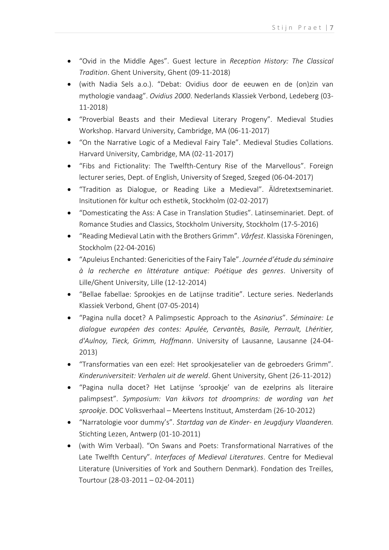- "Ovid in the Middle Ages". Guest lecture in *Reception History: The Classical Tradition*. Ghent University, Ghent (09-11-2018)
- (with Nadia Sels a.o.). "Debat: Ovidius door de eeuwen en de (on)zin van mythologie vandaag". *Ovidius 2000*. Nederlands Klassiek Verbond, Ledeberg (03- 11-2018)
- "Proverbial Beasts and their Medieval Literary Progeny". Medieval Studies Workshop. Harvard University, Cambridge, MA (06-11-2017)
- "On the Narrative Logic of a Medieval Fairy Tale". Medieval Studies Collations. Harvard University, Cambridge, MA (02-11-2017)
- "Fibs and Fictionality: The Twelfth-Century Rise of the Marvellous". Foreign lecturer series, Dept. of English, University of Szeged, Szeged (06-04-2017)
- "Tradition as Dialogue, or Reading Like a Medieval". Äldretextseminariet. Insitutionen för kultur och esthetik, Stockholm (02-02-2017)
- "Domesticating the Ass: A Case in Translation Studies". Latinseminariet. Dept. of Romance Studies and Classics, Stockholm University, Stockholm (17-5-2016)
- "Reading Medieval Latin with the Brothers Grimm". *Vårfest*. Klassiska Föreningen, Stockholm (22-04-2016)
- "Apuleius Enchanted: Genericities of the Fairy Tale". *Journée d'étude du séminaire à la recherche en littérature antique: Poétique des genres*. University of Lille/Ghent University, Lille (12-12-2014)
- "Bellae fabellae: Sprookjes en de Latijnse traditie". Lecture series. Nederlands Klassiek Verbond, Ghent (07-05-2014)
- "Pagina nulla docet? A Palimpsestic Approach to the *Asinarius*". *Séminaire: Le dialogue européen des contes: Apulée, Cervantès, Basile, Perrault, Lhéritier, d'Aulnoy, Tieck, Grimm, Hoffmann*. University of Lausanne, Lausanne (24-04- 2013)
- "Transformaties van een ezel: Het sprookjesatelier van de gebroeders Grimm". *Kinderuniversiteit: Verhalen uit de wereld*. Ghent University, Ghent (26-11-2012)
- "Pagina nulla docet? Het Latijnse 'sprookje' van de ezelprins als literaire palimpsest". *Symposium: Van kikvors tot droomprins: de wording van het sprookje*. DOC Volksverhaal – Meertens Instituut, Amsterdam (26-10-2012)
- "Narratologie voor dummy's". *Startdag van de Kinder- en Jeugdjury Vlaanderen.* Stichting Lezen, Antwerp (01-10-2011)
- (with Wim Verbaal). "On Swans and Poets: Transformational Narratives of the Late Twelfth Century". *Interfaces of Medieval Literatures*. Centre for Medieval Literature (Universities of York and Southern Denmark). Fondation des Treilles, Tourtour (28-03-2011 – 02-04-2011)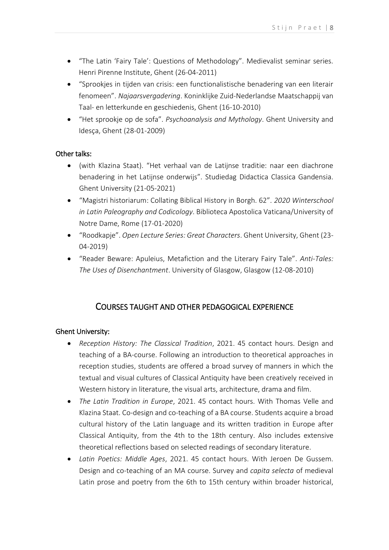- "The Latin 'Fairy Tale': Questions of Methodology". Medievalist seminar series. Henri Pirenne Institute, Ghent (26-04-2011)
- "Sprookjes in tijden van crisis: een functionalistische benadering van een literair fenomeen". *Najaarsvergadering*. Koninklijke Zuid-Nederlandse Maatschappij van Taal- en letterkunde en geschiedenis, Ghent (16-10-2010)
- "Het sprookje op de sofa". *Psychoanalysis and Mythology*. Ghent University and Idesça, Ghent (28-01-2009)

## Other talks:

- (with Klazina Staat). "Het verhaal van de Latijnse traditie: naar een diachrone benadering in het Latijnse onderwijs". Studiedag Didactica Classica Gandensia. Ghent University (21-05-2021)
- "Magistri historiarum: Collating Biblical History in Borgh. 62". *2020 Winterschool in Latin Paleography and Codicology*. Biblioteca Apostolica Vaticana/University of Notre Dame, Rome (17-01-2020)
- "Roodkapje". *Open Lecture Series: Great Characters*. Ghent University, Ghent (23- 04-2019)
- "Reader Beware: Apuleius, Metafiction and the Literary Fairy Tale". *Anti-Tales: The Uses of Disenchantment*. University of Glasgow, Glasgow (12-08-2010)

# COURSES TAUGHT AND OTHER PEDAGOGICAL EXPERIENCE

## Ghent University:

- *Reception History: The Classical Tradition*, 2021. 45 contact hours. Design and teaching of a BA-course. Following an introduction to theoretical approaches in reception studies, students are offered a broad survey of manners in which the textual and visual cultures of Classical Antiquity have been creatively received in Western history in literature, the visual arts, architecture, drama and film.
- *The Latin Tradition in Europe*, 2021. 45 contact hours. With Thomas Velle and Klazina Staat. Co-design and co-teaching of a BA course. Students acquire a broad cultural history of the Latin language and its written tradition in Europe after Classical Antiquity, from the 4th to the 18th century. Also includes extensive theoretical reflections based on selected readings of secondary literature.
- *Latin Poetics: Middle Ages*, 2021. 45 contact hours. With Jeroen De Gussem. Design and co-teaching of an MA course. Survey and *capita selecta* of medieval Latin prose and poetry from the 6th to 15th century within broader historical,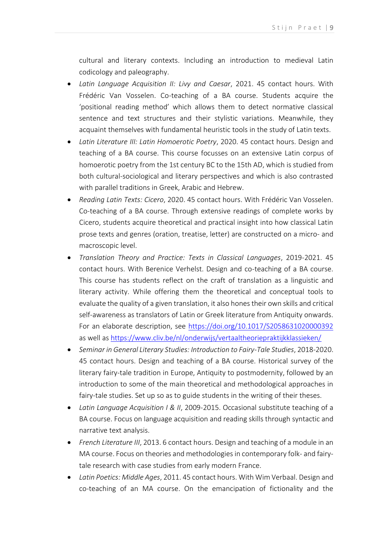cultural and literary contexts. Including an introduction to medieval Latin codicology and paleography.

- *Latin Language Acquisition II: Livy and Caesar*, 2021. 45 contact hours. With Frédéric Van Vosselen. Co-teaching of a BA course. Students acquire the 'positional reading method' which allows them to detect normative classical sentence and text structures and their stylistic variations. Meanwhile, they acquaint themselves with fundamental heuristic tools in the study of Latin texts.
- *Latin Literature III: Latin Homoerotic Poetry*, 2020. 45 contact hours. Design and teaching of a BA course. This course focusses on an extensive Latin corpus of homoerotic poetry from the 1st century BC to the 15th AD, which is studied from both cultural-sociological and literary perspectives and which is also contrasted with parallel traditions in Greek, Arabic and Hebrew.
- *Reading Latin Texts: Cicero*, 2020. 45 contact hours. With Frédéric Van Vosselen. Co-teaching of a BA course. Through extensive readings of complete works by Cicero, students acquire theoretical and practical insight into how classical Latin prose texts and genres (oration, treatise, letter) are constructed on a micro- and macroscopic level.
- *Translation Theory and Practice: Texts in Classical Languages*, 2019-2021. 45 contact hours. With Berenice Verhelst. Design and co-teaching of a BA course. This course has students reflect on the craft of translation as a linguistic and literary activity. While offering them the theoretical and conceptual tools to evaluate the quality of a given translation, it also hones their own skills and critical self-awareness as translators of Latin or Greek literature from Antiquity onwards. For an elaborate description, see<https://doi.org/10.1017/S2058631020000392> as well as<https://www.cliv.be/nl/onderwijs/vertaaltheoriepraktijkklassieken/>
- *Seminar in General Literary Studies: Introduction to Fairy-Tale Studies*, 2018-2020. 45 contact hours. Design and teaching of a BA course. Historical survey of the literary fairy-tale tradition in Europe, Antiquity to postmodernity, followed by an introduction to some of the main theoretical and methodological approaches in fairy-tale studies. Set up so as to guide students in the writing of their theses.
- *Latin Language Acquisition I & II*, 2009-2015. Occasional substitute teaching of a BA course. Focus on language acquisition and reading skills through syntactic and narrative text analysis.
- *French Literature III*, 2013. 6 contact hours. Design and teaching of a module in an MA course. Focus on theories and methodologies in contemporary folk- and fairytale research with case studies from early modern France.
- *Latin Poetics: Middle Ages*, 2011. 45 contact hours. With Wim Verbaal. Design and co-teaching of an MA course. On the emancipation of fictionality and the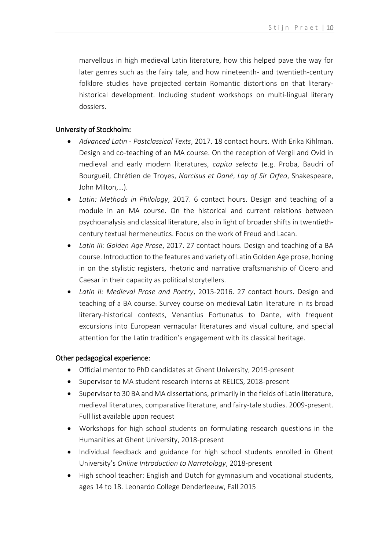marvellous in high medieval Latin literature, how this helped pave the way for later genres such as the fairy tale, and how nineteenth- and twentieth-century folklore studies have projected certain Romantic distortions on that literaryhistorical development. Including student workshops on multi-lingual literary dossiers.

#### University of Stockholm:

- *Advanced Latin - Postclassical Texts*, 2017. 18 contact hours. With Erika Kihlman. Design and co-teaching of an MA course. On the reception of Vergil and Ovid in medieval and early modern literatures, *capita selecta* (e.g. Proba, Baudri of Bourgueil, Chrétien de Troyes, *Narcisus et Dané*, *Lay of Sir Orfeo*, Shakespeare, John Milton,…).
- *Latin: Methods in Philology*, 2017. 6 contact hours. Design and teaching of a module in an MA course. On the historical and current relations between psychoanalysis and classical literature, also in light of broader shifts in twentiethcentury textual hermeneutics. Focus on the work of Freud and Lacan.
- *Latin III: Golden Age Prose*, 2017. 27 contact hours. Design and teaching of a BA course. Introduction to the features and variety of Latin Golden Age prose, honing in on the stylistic registers, rhetoric and narrative craftsmanship of Cicero and Caesar in their capacity as political storytellers.
- *Latin II: Medieval Prose and Poetry*, 2015-2016. 27 contact hours. Design and teaching of a BA course. Survey course on medieval Latin literature in its broad literary-historical contexts, Venantius Fortunatus to Dante, with frequent excursions into European vernacular literatures and visual culture, and special attention for the Latin tradition's engagement with its classical heritage.

#### Other pedagogical experience:

- Official mentor to PhD candidates at Ghent University, 2019-present
- Supervisor to MA student research interns at RELICS, 2018-present
- Supervisor to 30 BA and MA dissertations, primarily in the fields of Latin literature, medieval literatures, comparative literature, and fairy-tale studies. 2009-present. Full list available upon request
- Workshops for high school students on formulating research questions in the Humanities at Ghent University, 2018-present
- Individual feedback and guidance for high school students enrolled in Ghent University's *Online Introduction to Narratology*, 2018-present
- High school teacher: English and Dutch for gymnasium and vocational students, ages 14 to 18. Leonardo College Denderleeuw, Fall 2015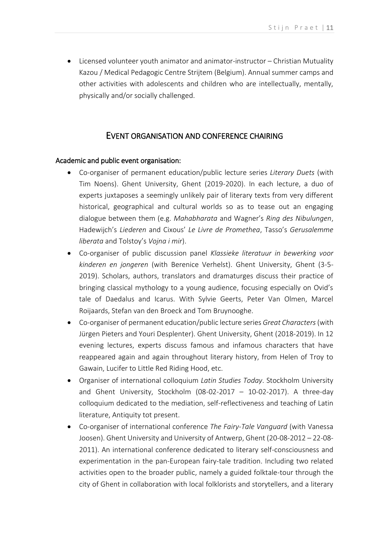• Licensed volunteer youth animator and animator-instructor – Christian Mutuality Kazou / Medical Pedagogic Centre Strijtem (Belgium). Annual summer camps and other activities with adolescents and children who are intellectually, mentally, physically and/or socially challenged.

## EVENT ORGANISATION AND CONFERENCE CHAIRING

#### Academic and public event organisation:

- Co-organiser of permanent education/public lecture series *Literary Duets* (with Tim Noens). Ghent University, Ghent (2019-2020). In each lecture, a duo of experts juxtaposes a seemingly unlikely pair of literary texts from very different historical, geographical and cultural worlds so as to tease out an engaging dialogue between them (e.g. *Mahabharata* and Wagner's *Ring des Nibulungen*, Hadewijch's *Liederen* and Cixous' *Le Livre de Promethea*, Tasso's *Gerusalemme liberata* and Tolstoy's *Vojna i mir*).
- Co-organiser of public discussion panel *Klassieke literatuur in bewerking voor kinderen en jongeren* (with Berenice Verhelst). Ghent University, Ghent (3-5- 2019). Scholars, authors, translators and dramaturges discuss their practice of bringing classical mythology to a young audience, focusing especially on Ovid's tale of Daedalus and Icarus. With Sylvie Geerts, Peter Van Olmen, Marcel Roijaards, Stefan van den Broeck and Tom Bruynooghe.
- Co-organiser of permanent education/public lecture series *Great Characters*(with Jürgen Pieters and Youri Desplenter). Ghent University, Ghent (2018-2019). In 12 evening lectures, experts discuss famous and infamous characters that have reappeared again and again throughout literary history, from Helen of Troy to Gawain, Lucifer to Little Red Riding Hood, etc.
- Organiser of international colloquium *Latin Studies Today*. Stockholm University and Ghent University, Stockholm (08-02-2017  $-$  10-02-2017). A three-day colloquium dedicated to the mediation, self-reflectiveness and teaching of Latin literature, Antiquity tot present.
- Co-organiser of international conference *The Fairy-Tale Vanguard* (with Vanessa Joosen). Ghent University and University of Antwerp, Ghent (20-08-2012 – 22-08- 2011). An international conference dedicated to literary self-consciousness and experimentation in the pan-European fairy-tale tradition. Including two related activities open to the broader public, namely a guided folktale-tour through the city of Ghent in collaboration with local folklorists and storytellers, and a literary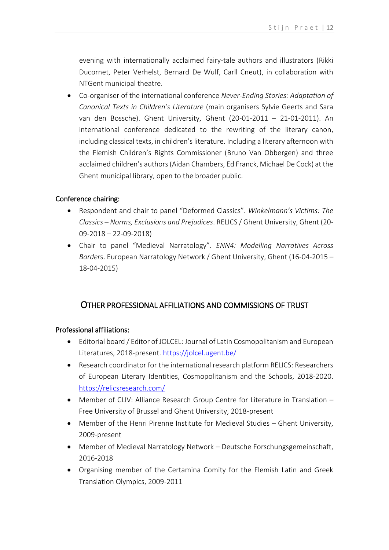evening with internationally acclaimed fairy-tale authors and illustrators (Rikki Ducornet, Peter Verhelst, Bernard De Wulf, Carll Cneut), in collaboration with NTGent municipal theatre.

• Co-organiser of the international conference *Never-Ending Stories: Adaptation of Canonical Texts in Children's Literature* (main organisers Sylvie Geerts and Sara van den Bossche). Ghent University, Ghent (20-01-2011 – 21-01-2011). An international conference dedicated to the rewriting of the literary canon, including classical texts, in children's literature. Including a literary afternoon with the Flemish Children's Rights Commissioner (Bruno Van Obbergen) and three acclaimed children's authors (Aidan Chambers, Ed Franck, Michael De Cock) at the Ghent municipal library, open to the broader public.

## Conference chairing:

- Respondent and chair to panel "Deformed Classics". *Winkelmann's Victims: The Classics – Norms, Exclusions and Prejudices*. RELICS / Ghent University, Ghent (20- 09-2018 – 22-09-2018)
- Chair to panel "Medieval Narratology". *ENN4: Modelling Narratives Across Border*s. European Narratology Network / Ghent University, Ghent (16-04-2015 – 18-04-2015)

# OTHER PROFESSIONAL AFFILIATIONS AND COMMISSIONS OF TRUST

## Professional affiliations:

- Editorial board / Editor of JOLCEL: Journal of Latin Cosmopolitanism and European Literatures, 2018-present.<https://jolcel.ugent.be/>
- Research coordinator for the international research platform RELICS: Researchers of European Literary Identities, Cosmopolitanism and the Schools, 2018-2020. <https://relicsresearch.com/>
- Member of CLIV: Alliance Research Group Centre for Literature in Translation Free University of Brussel and Ghent University, 2018-present
- Member of the Henri Pirenne Institute for Medieval Studies Ghent University, 2009-present
- Member of Medieval Narratology Network Deutsche Forschungsgemeinschaft, 2016-2018
- Organising member of the Certamina Comity for the Flemish Latin and Greek Translation Olympics, 2009-2011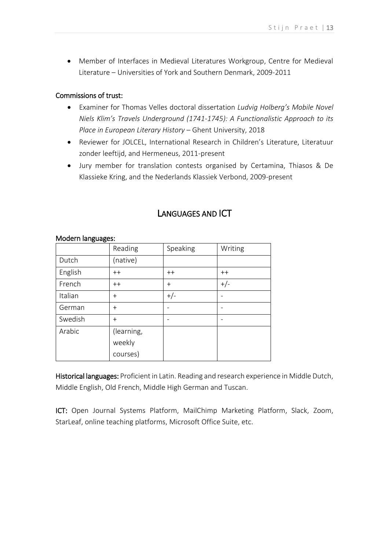• Member of Interfaces in Medieval Literatures Workgroup, Centre for Medieval Literature – Universities of York and Southern Denmark, 2009-2011

#### Commissions of trust:

Modern languages:

- Examiner for Thomas Velles doctoral dissertation *Ludvig Holberg's Mobile Novel Niels Klim's Travels Underground (1741-1745): A Functionalistic Approach to its Place in European Literary History* – Ghent University, 2018
- Reviewer for JOLCEL, International Research in Children's Literature, Literatuur zonder leeftijd, and Hermeneus, 2011-present
- Jury member for translation contests organised by Certamina, Thiasos & De Klassieke Kring, and the Nederlands Klassiek Verbond, 2009-present

| ັ<br>$\tilde{\phantom{a}}$ |            |          |         |
|----------------------------|------------|----------|---------|
|                            | Reading    | Speaking | Writing |
| Dutch                      | (native)   |          |         |
| English                    | $++$       | $++$     | $++$    |
| French                     | $++$       | $^{+}$   | $+/-$   |
| Italian                    | $^{+}$     | $+/-$    |         |
| German                     | $^{+}$     |          |         |
| Swedish                    | $^{+}$     |          |         |
| Arabic                     | (learning, |          |         |
|                            | weekly     |          |         |
|                            | courses)   |          |         |

# LANGUAGES AND ICT

Historical languages: Proficient in Latin. Reading and research experience in Middle Dutch, Middle English, Old French, Middle High German and Tuscan.

ICT: Open Journal Systems Platform, MailChimp Marketing Platform, Slack, Zoom, StarLeaf, online teaching platforms, Microsoft Office Suite, etc.